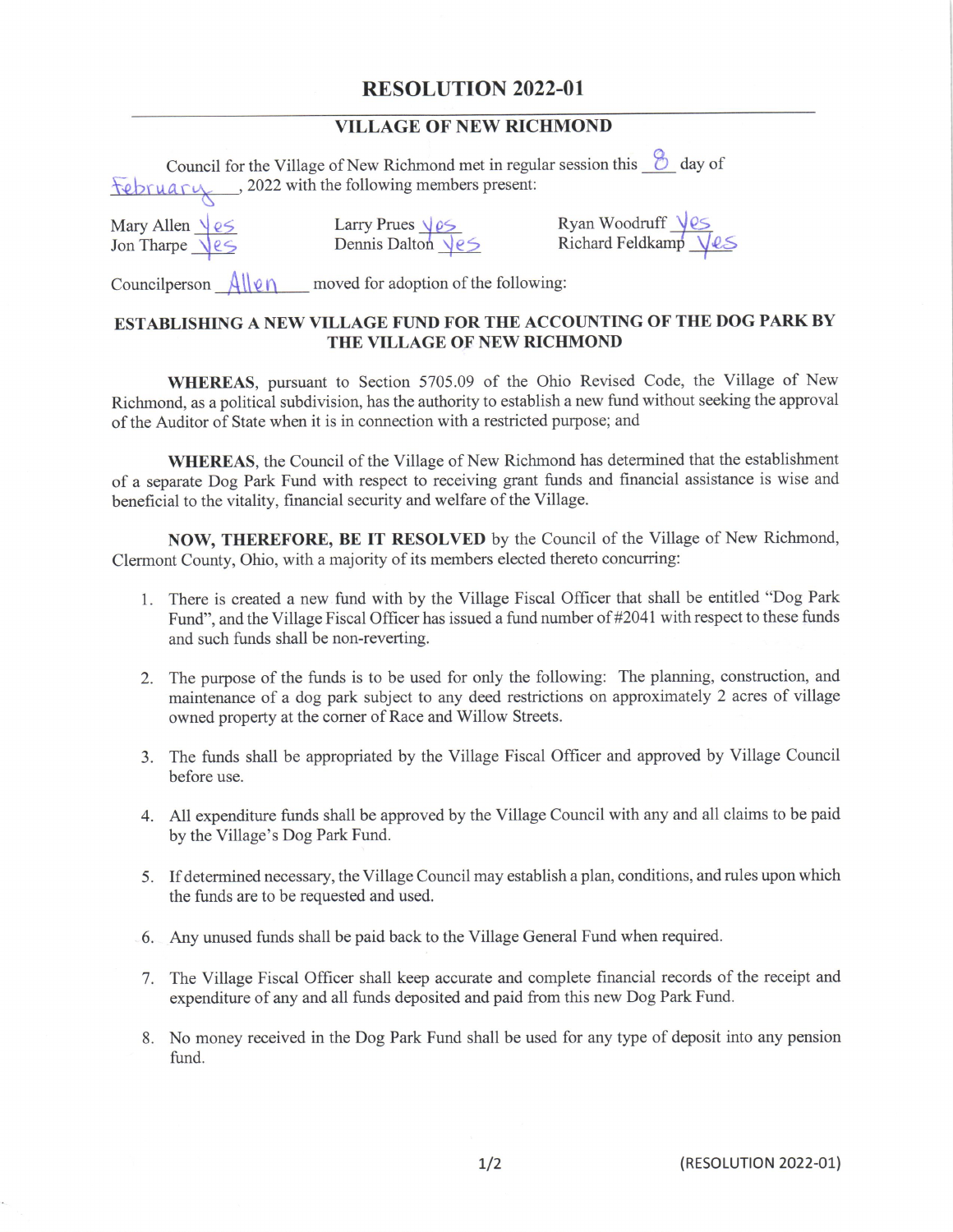## RESOLUTION 2022-01

## VILLAGE OF NEW RICHMOND

|                                                             | Council for the Village of New Richmond met in regular session this $\circled{b}$ day of<br>tebruary, 2022 with the following members present: |                                           |
|-------------------------------------------------------------|------------------------------------------------------------------------------------------------------------------------------------------------|-------------------------------------------|
| Mary Allen $\frac{\sqrt{e5}}{\sqrt{e5}}$                    | Larry Prues $\frac{\sqrt{25}}{\sqrt{25}}$<br>Dennis Dalton $\sqrt{25}$                                                                         | Ryan Woodruff Ves<br>Richard Feldkamp VeS |
| Councilperson Allen<br>moved for adoption of the following: |                                                                                                                                                |                                           |

## ESTABLISHING A NEW VILLAGE FUND FOR THE ACCOUNTING OF THE DOG PARK BY THE VILLAGE OF NEW RICHMOND

WHEREAS, pursuant to Section 5705. 09 of the Ohio Revised Code, the Village of New Richmond, as <sup>a</sup> political subdivision, has the authority to establish a new fund without seeking the approval of the Auditor of State when it is in connection with <sup>a</sup> restricted purpose; and

WHEREAS, the Council of the Village of New Richmond has determined that the establishment of <sup>a</sup> separate Dog Park Fund with respect to receiving grant funds and financial assistance is wise and beneficial to the vitality, financial security and welfare of the Village.

NOW, THEREFORE, BE IT RESOLVED by the Council of the Village of New Richmond, Clermont County, Ohio, with a majority of its members elected thereto concurring:

- 1. There is created a new fund with by the Village Fiscal Officer that shall be entitled " Dog Park Fund", and the Village Fiscal Officer has issued a fund number of #2041 with respect to these funds and such funds shall be non-reverting.
- 2. The purpose of the funds is to be used for only the following: The planning, construction, and maintenance of <sup>a</sup> dog park subject to any deed restrictions on approximately <sup>2</sup> acres of village owned property at the corner of Race and Willow Streets.
- 3. The funds shall be appropriated by the Village Fiscal Officer and approved by Village Council before use.
- 4. All expenditure funds shall be approved by the Village Council with any and all claims to be paid by the Village's Dog Park Fund.
- 5. If determined necessary, the Village Council may establish <sup>a</sup> plan, conditions, and rules upon which the funds are to be requested and used.
- 6. Any unused funds shall be paid back to the Village General Fund when required.
- 7. The Village Fiscal Officer shall keep accurate and complete financial records of the receipt and expenditure of any and all funds deposited and paid from this new Dog Park Fund.
- 8. No money received in the Dog Park Fund shall be used for any type of deposit into any pension fund.